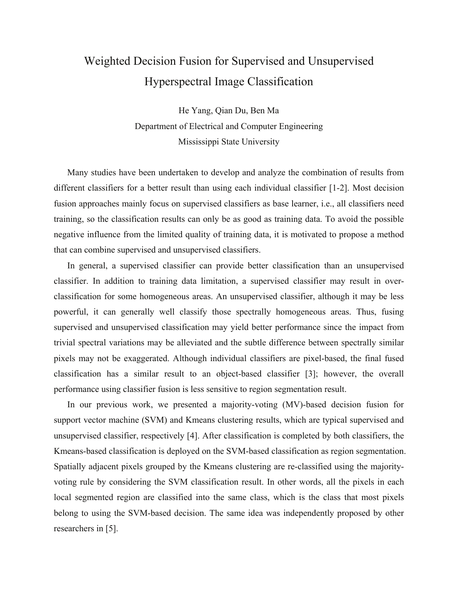## Weighted Decision Fusion for Supervised and Unsupervised Hyperspectral Image Classification

He Yang, Qian Du, Ben Ma Department of Electrical and Computer Engineering Mississippi State University

Many studies have been undertaken to develop and analyze the combination of results from different classifiers for a better result than using each individual classifier [1-2]. Most decision fusion approaches mainly focus on supervised classifiers as base learner, i.e., all classifiers need training, so the classification results can only be as good as training data. To avoid the possible negative influence from the limited quality of training data, it is motivated to propose a method that can combine supervised and unsupervised classifiers.

In general, a supervised classifier can provide better classification than an unsupervised classifier. In addition to training data limitation, a supervised classifier may result in overclassification for some homogeneous areas. An unsupervised classifier, although it may be less powerful, it can generally well classify those spectrally homogeneous areas. Thus, fusing supervised and unsupervised classification may yield better performance since the impact from trivial spectral variations may be alleviated and the subtle difference between spectrally similar pixels may not be exaggerated. Although individual classifiers are pixel-based, the final fused classification has a similar result to an object-based classifier [3]; however, the overall performance using classifier fusion is less sensitive to region segmentation result.

In our previous work, we presented a majority-voting (MV)-based decision fusion for support vector machine (SVM) and Kmeans clustering results, which are typical supervised and unsupervised classifier, respectively [4]. After classification is completed by both classifiers, the Kmeans-based classification is deployed on the SVM-based classification as region segmentation. Spatially adjacent pixels grouped by the Kmeans clustering are re-classified using the majorityvoting rule by considering the SVM classification result. In other words, all the pixels in each local segmented region are classified into the same class, which is the class that most pixels belong to using the SVM-based decision. The same idea was independently proposed by other researchers in [5].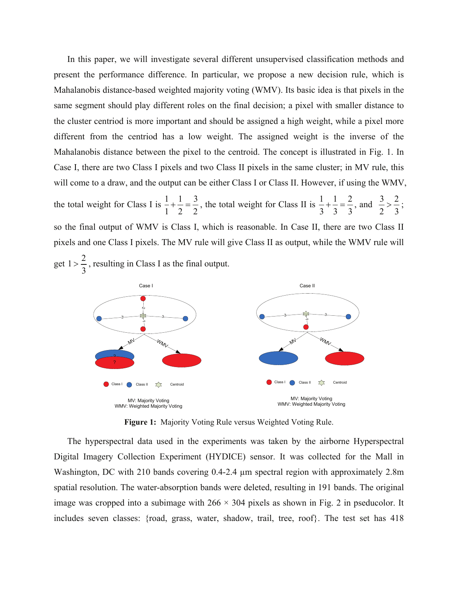In this paper, we will investigate several different unsupervised classification methods and present the performance difference. In particular, we propose a new decision rule, which is Mahalanobis distance-based weighted majority voting (WMV). Its basic idea is that pixels in the same segment should play different roles on the final decision; a pixel with smaller distance to the cluster centriod is more important and should be assigned a high weight, while a pixel more different from the centriod has a low weight. The assigned weight is the inverse of the Mahalanobis distance between the pixel to the centroid. The concept is illustrated in Fig. 1. In Case I, there are two Class I pixels and two Class II pixels in the same cluster; in MV rule, this will come to a draw, and the output can be either Class I or Class II. However, if using the WMV, the total weight for Class I is  $\frac{1}{1} + \frac{1}{2} = \frac{3}{2}$  $1 \t2 \t2$  $+\frac{1}{2} = \frac{3}{2}$ , the total weight for Class II is  $\frac{1}{2} + \frac{1}{2} = \frac{2}{3}$ 333  $+\frac{1}{2} = \frac{2}{3}$ , and  $\frac{3}{2} > \frac{2}{3}$ 2 3  $>\frac{2}{3}$ ; so the final output of WMV is Class I, which is reasonable. In Case II, there are two Class II pixels and one Class I pixels. The MV rule will give Class II as output, while the WMV rule will get  $1 > \frac{2}{3}$ 3  $> \frac{2}{3}$ , resulting in Class I as the final output.



**Figure 1:** Majority Voting Rule versus Weighted Voting Rule.

The hyperspectral data used in the experiments was taken by the airborne Hyperspectral Digital Imagery Collection Experiment (HYDICE) sensor. It was collected for the Mall in Washington, DC with 210 bands covering 0.4-2.4 µm spectral region with approximately 2.8m spatial resolution. The water-absorption bands were deleted, resulting in 191 bands. The original image was cropped into a subimage with  $266 \times 304$  pixels as shown in Fig. 2 in pseducolor. It includes seven classes: {road, grass, water, shadow, trail, tree, roof}. The test set has 418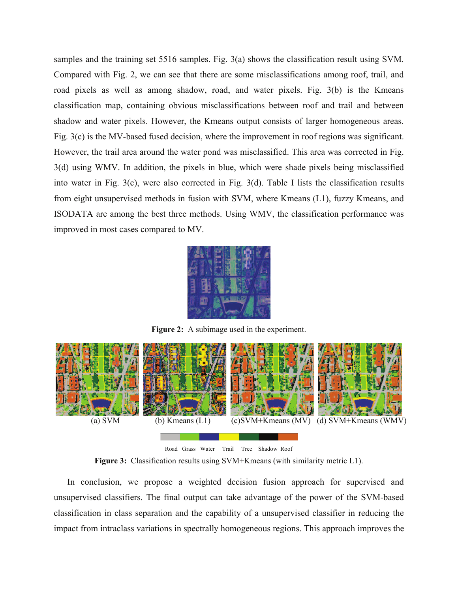samples and the training set 5516 samples. Fig. 3(a) shows the classification result using SVM. Compared with Fig. 2, we can see that there are some misclassifications among roof, trail, and road pixels as well as among shadow, road, and water pixels. Fig. 3(b) is the Kmeans classification map, containing obvious misclassifications between roof and trail and between shadow and water pixels. However, the Kmeans output consists of larger homogeneous areas. Fig. 3(c) is the MV-based fused decision, where the improvement in roof regions was significant. However, the trail area around the water pond was misclassified. This area was corrected in Fig. 3(d) using WMV. In addition, the pixels in blue, which were shade pixels being misclassified into water in Fig. 3(c), were also corrected in Fig. 3(d). Table I lists the classification results from eight unsupervised methods in fusion with SVM, where Kmeans (L1), fuzzy Kmeans, and ISODATA are among the best three methods. Using WMV, the classification performance was improved in most cases compared to MV.



**Figure 2:** A subimage used in the experiment.



**Figure 3:** Classification results using SVM+Kmeans (with similarity metric L1).

In conclusion, we propose a weighted decision fusion approach for supervised and unsupervised classifiers. The final output can take advantage of the power of the SVM-based classification in class separation and the capability of a unsupervised classifier in reducing the impact from intraclass variations in spectrally homogeneous regions. This approach improves the